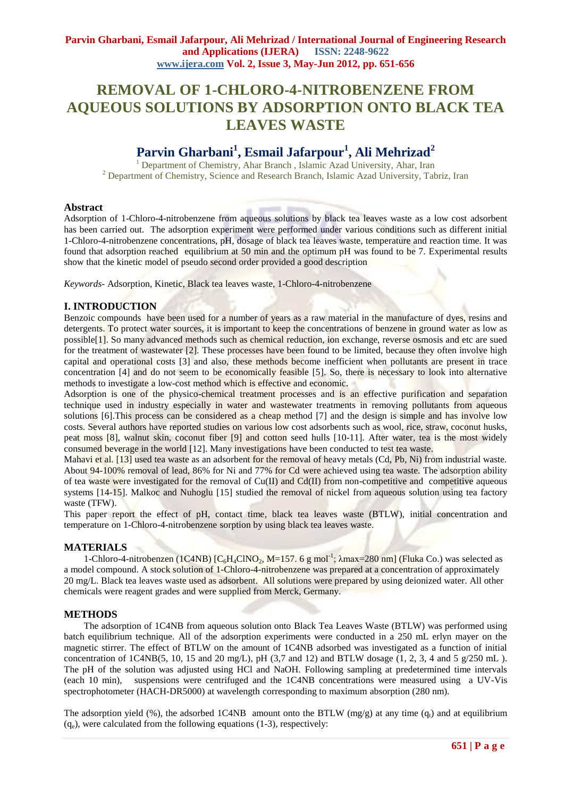# **REMOVAL OF 1-CHLORO-4-NITROBENZENE FROM AQUEOUS SOLUTIONS BY ADSORPTION ONTO BLACK TEA LEAVES WASTE**

# **Parvin Gharbani<sup>1</sup> , Esmail Jafarpour 1 , Ali Mehrizad<sup>2</sup>**

<sup>1</sup> Department of Chemistry, Ahar Branch, Islamic Azad University, Ahar, Iran <sup>2</sup> Department of Chemistry, Science and Research Branch, Islamic Azad University, Tabriz, Iran

## **Abstract**

Adsorption of 1-Chloro-4-nitrobenzene from aqueous solutions by black tea leaves waste as a low cost adsorbent has been carried out. The adsorption experiment were performed under various conditions such as different initial 1-Chloro-4-nitrobenzene concentrations, pH, dosage of black tea leaves waste, temperature and reaction time. It was found that adsorption reached equilibrium at 50 min and the optimum pH was found to be 7. Experimental results show that the kinetic model of pseudo second order provided a good description

*Keywords-* Adsorption, Kinetic, Black tea leaves waste, 1-Chloro-4-nitrobenzene

## **I. INTRODUCTION**

Benzoic compounds have been used for a number of years as a raw material in the manufacture of dyes, resins and detergents. To protect water sources, it is important to keep the concentrations of benzene in ground water as low as possible[1]. So many advanced methods such as chemical reduction, ion exchange, reverse osmosis and etc are sued for the treatment of wastewater [2]. These processes have been found to be limited, because they often involve high capital and operational costs [3] and also, these methods become inefficient when pollutants are present in trace concentration [4] and do not seem to be economically feasible [5]. So, there is necessary to look into alternative methods to investigate a low-cost method which is effective and economic.

Adsorption is one of the physico-chemical treatment processes and is an effective purification and separation technique used in industry especially in water and wastewater treatments in removing pollutants from aqueous solutions [6]. This process can be considered as a cheap method [7] and the design is simple and has involve low costs. Several authors have reported studies on various low cost adsorbents such as wool, rice, straw, coconut husks, peat moss [8], walnut skin, coconut fiber [9] and cotton seed hulls [10-11]. After water, tea is the most widely consumed beverage in the world [12]. Many investigations have been conducted to test tea waste.

Mahavi et al. [13] used tea waste as an adsorbent for the removal of heavy metals (Cd, Pb, Ni) from industrial waste. About 94-100% removal of lead, 86% for Ni and 77% for Cd were achieved using tea waste. The adsorption ability of tea waste were investigated for the removal of  $Cu(II)$  and  $Cd(II)$  from non-competitive and competitive aqueous systems [14-15]. Malkoc and Nuhoglu [15] studied the removal of nickel from aqueous solution using tea factory waste (TFW).

This paper report the effect of pH, contact time, black tea leaves waste (BTLW), initial concentration and temperature on 1-Chloro-4-nitrobenzene sorption by using black tea leaves waste.

### **MATERIALS**

1-Chloro-4-nitrobenzen (1C4NB)  $[C_6H_4CINO_2, M=157.6 g mol^{-1}; \lambda max=280 nm]$  (Fluka Co.) was selected as a model compound. A stock solution of 1-Chloro-4-nitrobenzene was prepared at a concentration of approximately 20 mg/L. Black tea leaves waste used as adsorbent. All solutions were prepared by using deionized water. All other chemicals were reagent grades and were supplied from Merck, Germany.

### **METHODS**

The adsorption of 1C4NB from aqueous solution onto Black Tea Leaves Waste (BTLW) was performed using batch equilibrium technique. All of the adsorption experiments were conducted in a 250 mL erlyn mayer on the magnetic stirrer. The effect of BTLW on the amount of 1C4NB adsorbed was investigated as a function of initial concentration of  $1C4NB(5, 10, 15 \text{ and } 20 \text{ mg/L})$ , pH (3,7 and 12) and BTLW dosage (1, 2, 3, 4 and 5 g/250 mL). The pH of the solution was adjusted using HCl and NaOH. Following sampling at predetermined time intervals (each 10 min), suspensions were centrifuged and the 1C4NB concentrations were measured using a UV-Vis spectrophotometer (HACH-DR5000) at wavelength corresponding to maximum absorption (280 nm).

The adsorption yield (%), the adsorbed 1C4NB amount onto the BTLW (mg/g) at any time  $(q_t)$  and at equilibrium  $(q_e)$ , were calculated from the following equations (1-3), respectively: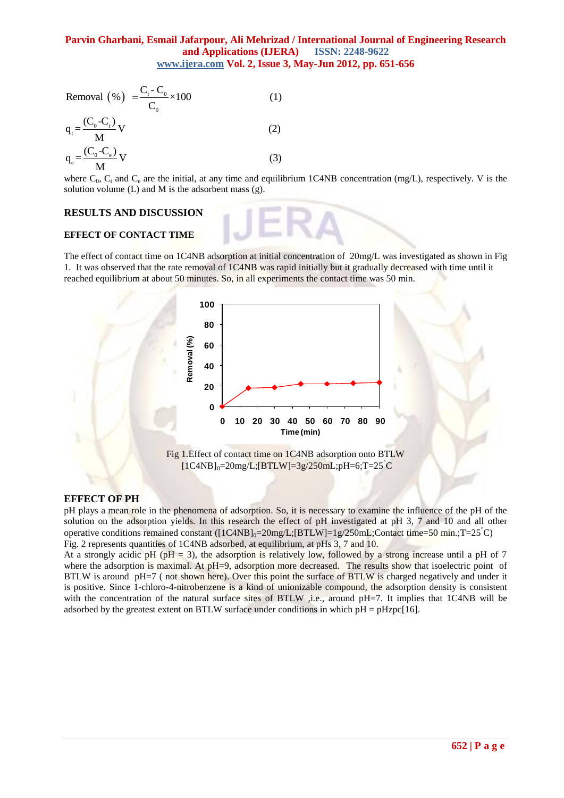$$
\frac{WWW, \text{gclacodn}}{C_0} \text{Vol. 2, Isst.}
$$
\n
$$
\text{Removal } (\% ) = \frac{C_{\text{t}} - C_0}{C_0} \times 100 \tag{1}
$$

$$
q_{t} = \frac{(C_{0} - C_{t})}{M} V
$$
\n
$$
q_{e} = \frac{(C_{0} - C_{e})}{M} V
$$
\n
$$
q_{e} = \frac{(C_{0} - C_{e})}{M} V
$$
\n(3)

where  $C_0$ ,  $C_t$  and  $C_e$  are the initial, at any time and equilibrium 1C4NB concentration (mg/L), respectively. V is the solution volume  $(L)$  and  $M$  is the adsorbent mass  $(g)$ .

#### **RESULTS AND DISCUSSION**

#### **EFFECT OF CONTACT TIME**

The effect of contact time on 1C4NB adsorption at initial concentration of 20mg/L was investigated as shown in Fig 1. It was observed that the rate removal of 1C4NB was rapid initially but it gradually decreased with time until it reached equilibrium at about 50 minutes. So, in all experiments the contact time was 50 min*.* 





#### **EFFECT OF PH**

pH plays a mean role in the phenomena of adsorption. So, it is necessary to examine the influence of the pH of the solution on the adsorption yields. In this research the effect of pH investigated at pH 3*,* 7 and 10 and all other operative conditions remained constant  $([1C4NB]_0=20$ mg/L; $[BTLW]=1g/250$ mL;Contact time=50 min.;T=25°C) Fig. 2 represents quantities of 1C4NB adsorbed, at equilibrium, at pHs 3, 7 and 10.

At a strongly acidic pH (pH = 3), the adsorption is relatively low, followed by a strong increase until a pH of 7 where the adsorption is maximal. At pH=9, adsorption more decreased. The results show that isoelectric point of BTLW is around pH=7 (not shown here). Over this point the surface of BTLW is charged negatively and under it is positive. Since 1-chloro-4-nitrobenzene is a kind of unionizable compound, the adsorption density is consistent with the concentration of the natural surface sites of BTLW , i.e., around pH=7. It implies that 1C4NB will be adsorbed by the greatest extent on BTLW surface under conditions in which  $pH = pHzpc[16]$ .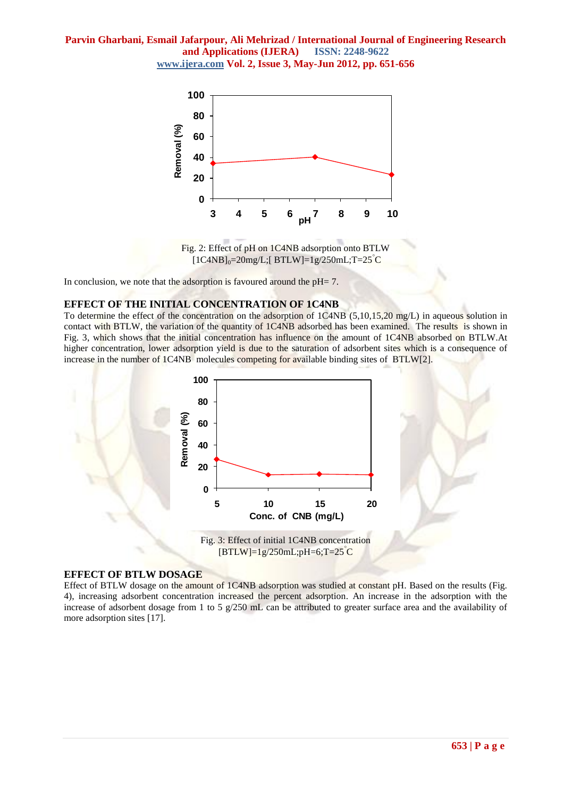

Fig. 2: Effect of pH on 1C4NB adsorption onto BTLW  $[1C4NB]_0 = 20mg/L$ ; $[BTLW] = 1g/250mL$ ; $T = 25^{\circ}C$ 

In conclusion, we note that the adsorption is favoured around the  $pH= 7$ .

#### **EFFECT OF THE INITIAL CONCENTRATION OF 1C4NB**

To determine the effect of the concentration on the adsorption of 1C4NB (5,10,15,20 mg/L) in aqueous solution in contact with BTLW, the variation of the quantity of 1C4NB adsorbed has been examined. The results is shown in Fig. 3, which shows that the initial concentration has influence on the amount of 1C4NB absorbed on BTLW.At higher concentration, lower adsorption yield is due to the saturation of adsorbent sites which is a consequence of increase in the number of 1C4NB molecules competing for available binding sites of BTLW[2].



#### **EFFECT OF BTLW DOSAGE**

Effect of BTLW dosage on the amount of 1C4NB adsorption was studied at constant pH. Based on the results (Fig. 4), increasing adsorbent concentration increased the percent adsorption. An increase in the adsorption with the increase of adsorbent dosage from 1 to 5 g/250 mL can be attributed to greater surface area and the availability of more adsorption sites [17].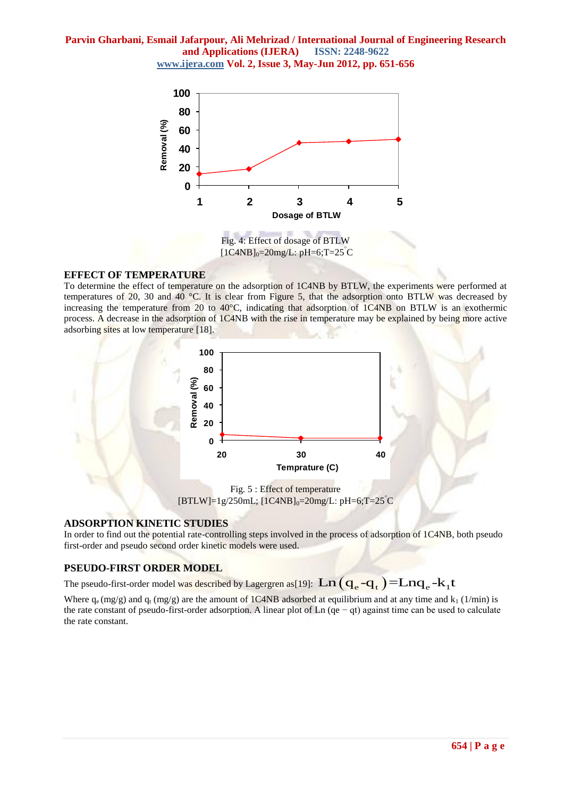

 $[1C4NB]_{0} = 20mg/L$ : pH=6;T=25°C

## **EFFECT OF TEMPERATURE**

To determine the effect of temperature on the adsorption of 1C4NB by BTLW, the experiments were performed at temperatures of 20, 30 and 40 °C. It is clear from Figure 5, that the adsorption onto BTLW was decreased by increasing the temperature from 20 to 40°C, indicating that adsorption of 1C4NB on BTLW is an exothermic process. A decrease in the adsorption of 1C4NB with the rise in temperature may be explained by being more active adsorbing sites at low temperature [18].



 $[BTLW]=1g/250mL; [1C4NB]_{0}=20mg/L; pH=6;T=25°C$ 

# **ADSORPTION KINETIC STUDIES**

In order to find out the potential rate-controlling steps involved in the process of adsorption of 1C4NB, both pseudo first-order and pseudo second order kinetic models were used.

# **PSEUDO-FIRST ORDER MODEL**

**PSEUDO-FIRST ORDER MODEL**<br>The pseudo-first-order model was described by Lagergren as[19]:  $\text{Ln}\left(\mathbf{q}_{\text{e}}-\mathbf{q}_{\text{t}}\right)$  =  $\text{Ln}\mathbf{q}_{\text{e}}$  -  $\text{k}_1\text{t}$ 

Where  $q_e$  (mg/g) and  $q_t$  (mg/g) are the amount of 1C4NB adsorbed at equilibrium and at any time and  $k_1$  (1/min) is the rate constant of pseudo-first-order adsorption. A linear plot of Ln (qe − qt) against time can be used to calculate the rate constant.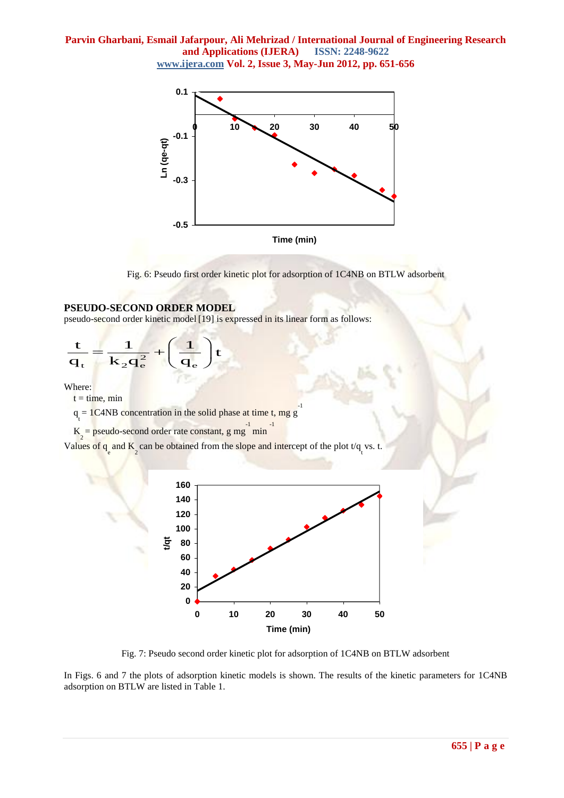

Fig. 6: Pseudo first order kinetic plot for adsorption of 1C4NB on BTLW adsorbent

## **PSEUDO-SECOND ORDER MODEL**

pseudo-second order kinetic model [19] is expressed in its linear form as follows:

$$
\frac{\mathbf{t}}{\mathbf{q}_{\mathbf{t}}} = \frac{1}{\mathbf{k}_2 \mathbf{q}_{\mathbf{e}}^2} + \left(\frac{1}{\mathbf{q}_{\mathbf{e}}}\right) \mathbf{t}
$$

Where:

 $t = time$ , min

 $q_t = 1C4NB$  concentration in the solid phase at time t, mg g -1

 $K_2 =$  pseudo-second order rate constant, g mg<sup>-1</sup> min -1

Values of  $q_{e}$  and  $K_{2}$  can be obtained from the slope and intercept of the plot  $t/q_{t}$  vs. t.



Fig. 7: Pseudo second order kinetic plot for adsorption of 1C4NB on BTLW adsorbent

In Figs. 6 and 7 the plots of adsorption kinetic models is shown. The results of the kinetic parameters for 1C4NB adsorption on BTLW are listed in Table 1.